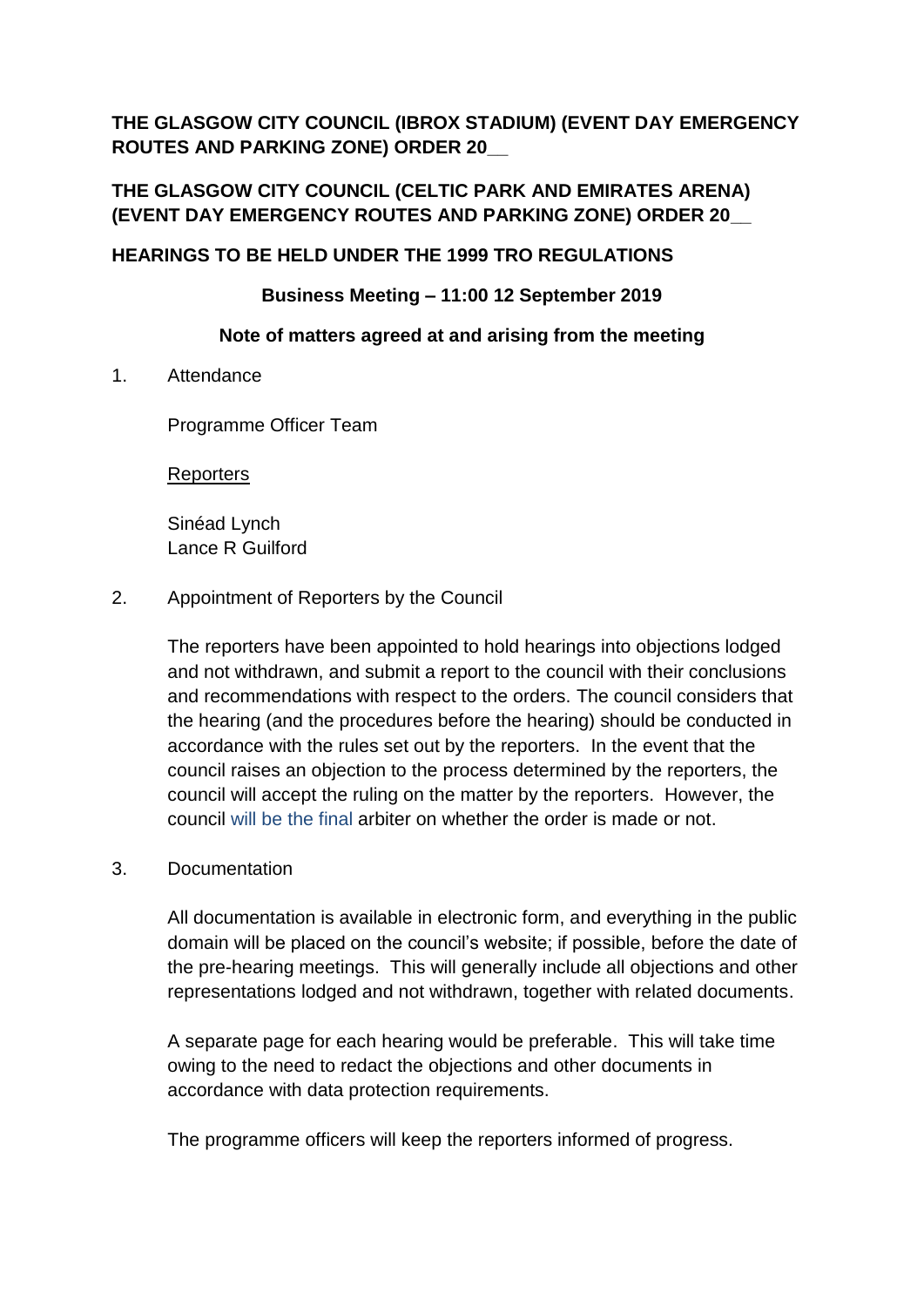**THE GLASGOW CITY COUNCIL (IBROX STADIUM) (EVENT DAY EMERGENCY ROUTES AND PARKING ZONE) ORDER 20\_\_**

# **THE GLASGOW CITY COUNCIL (CELTIC PARK AND EMIRATES ARENA) (EVENT DAY EMERGENCY ROUTES AND PARKING ZONE) ORDER 20\_\_**

# **HEARINGS TO BE HELD UNDER THE 1999 TRO REGULATIONS**

### **Business Meeting – 11:00 12 September 2019**

### **Note of matters agreed at and arising from the meeting**

1. Attendance

Programme Officer Team

**Reporters** 

Sinéad Lynch Lance R Guilford

2. Appointment of Reporters by the Council

The reporters have been appointed to hold hearings into objections lodged and not withdrawn, and submit a report to the council with their conclusions and recommendations with respect to the orders. The council considers that the hearing (and the procedures before the hearing) should be conducted in accordance with the rules set out by the reporters. In the event that the council raises an objection to the process determined by the reporters, the council will accept the ruling on the matter by the reporters. However, the council will be the final arbiter on whether the order is made or not.

# 3. Documentation

All documentation is available in electronic form, and everything in the public domain will be placed on the council's website; if possible, before the date of the pre-hearing meetings. This will generally include all objections and other representations lodged and not withdrawn, together with related documents.

A separate page for each hearing would be preferable. This will take time owing to the need to redact the objections and other documents in accordance with data protection requirements.

The programme officers will keep the reporters informed of progress.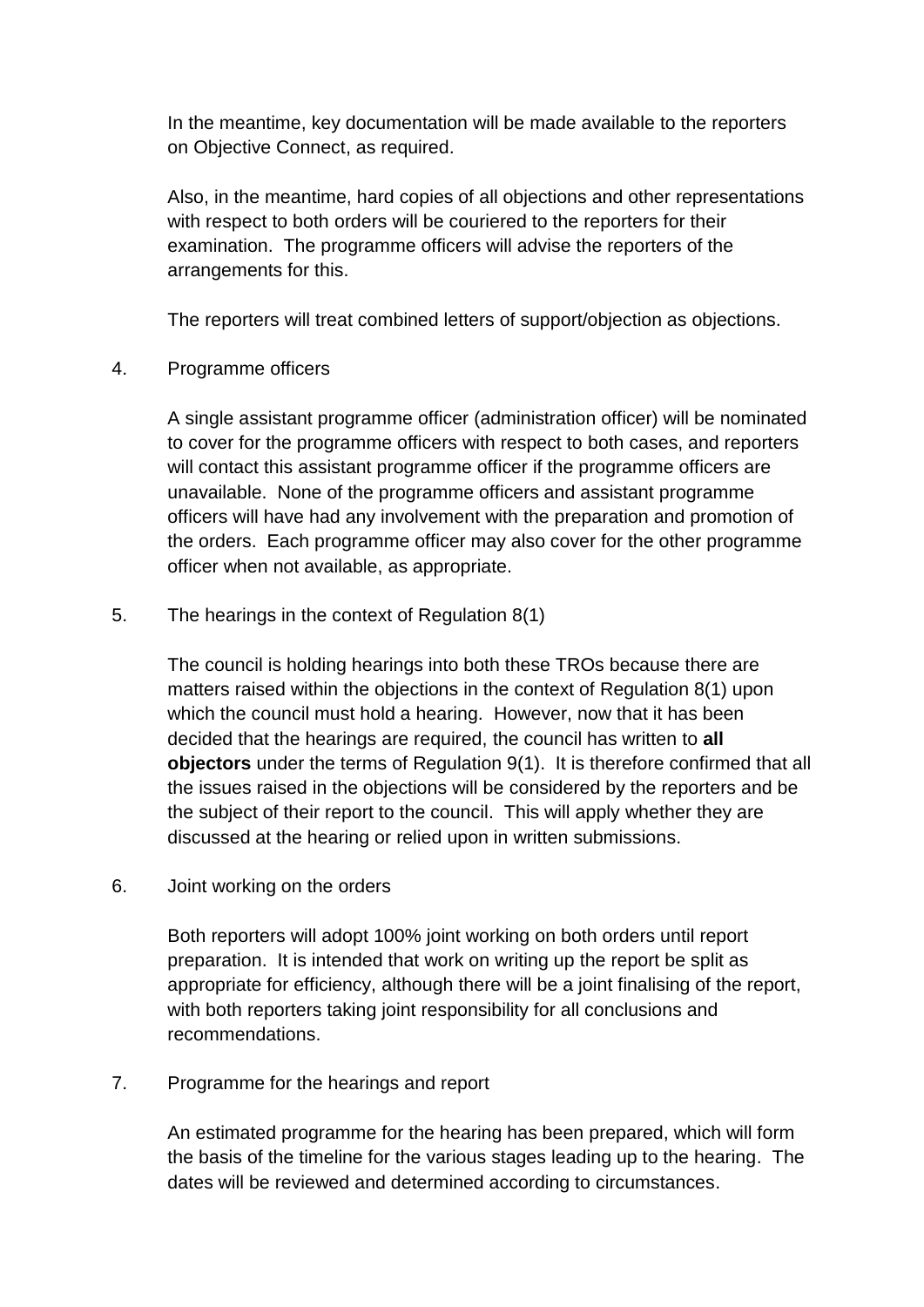In the meantime, key documentation will be made available to the reporters on Objective Connect, as required.

Also, in the meantime, hard copies of all objections and other representations with respect to both orders will be couriered to the reporters for their examination. The programme officers will advise the reporters of the arrangements for this.

The reporters will treat combined letters of support/objection as objections.

4. Programme officers

A single assistant programme officer (administration officer) will be nominated to cover for the programme officers with respect to both cases, and reporters will contact this assistant programme officer if the programme officers are unavailable. None of the programme officers and assistant programme officers will have had any involvement with the preparation and promotion of the orders. Each programme officer may also cover for the other programme officer when not available, as appropriate.

5. The hearings in the context of Regulation 8(1)

The council is holding hearings into both these TROs because there are matters raised within the objections in the context of Regulation 8(1) upon which the council must hold a hearing. However, now that it has been decided that the hearings are required, the council has written to **all objectors** under the terms of Regulation 9(1). It is therefore confirmed that all the issues raised in the objections will be considered by the reporters and be the subject of their report to the council. This will apply whether they are discussed at the hearing or relied upon in written submissions.

6. Joint working on the orders

Both reporters will adopt 100% joint working on both orders until report preparation. It is intended that work on writing up the report be split as appropriate for efficiency, although there will be a joint finalising of the report, with both reporters taking joint responsibility for all conclusions and recommendations.

7. Programme for the hearings and report

An estimated programme for the hearing has been prepared, which will form the basis of the timeline for the various stages leading up to the hearing. The dates will be reviewed and determined according to circumstances.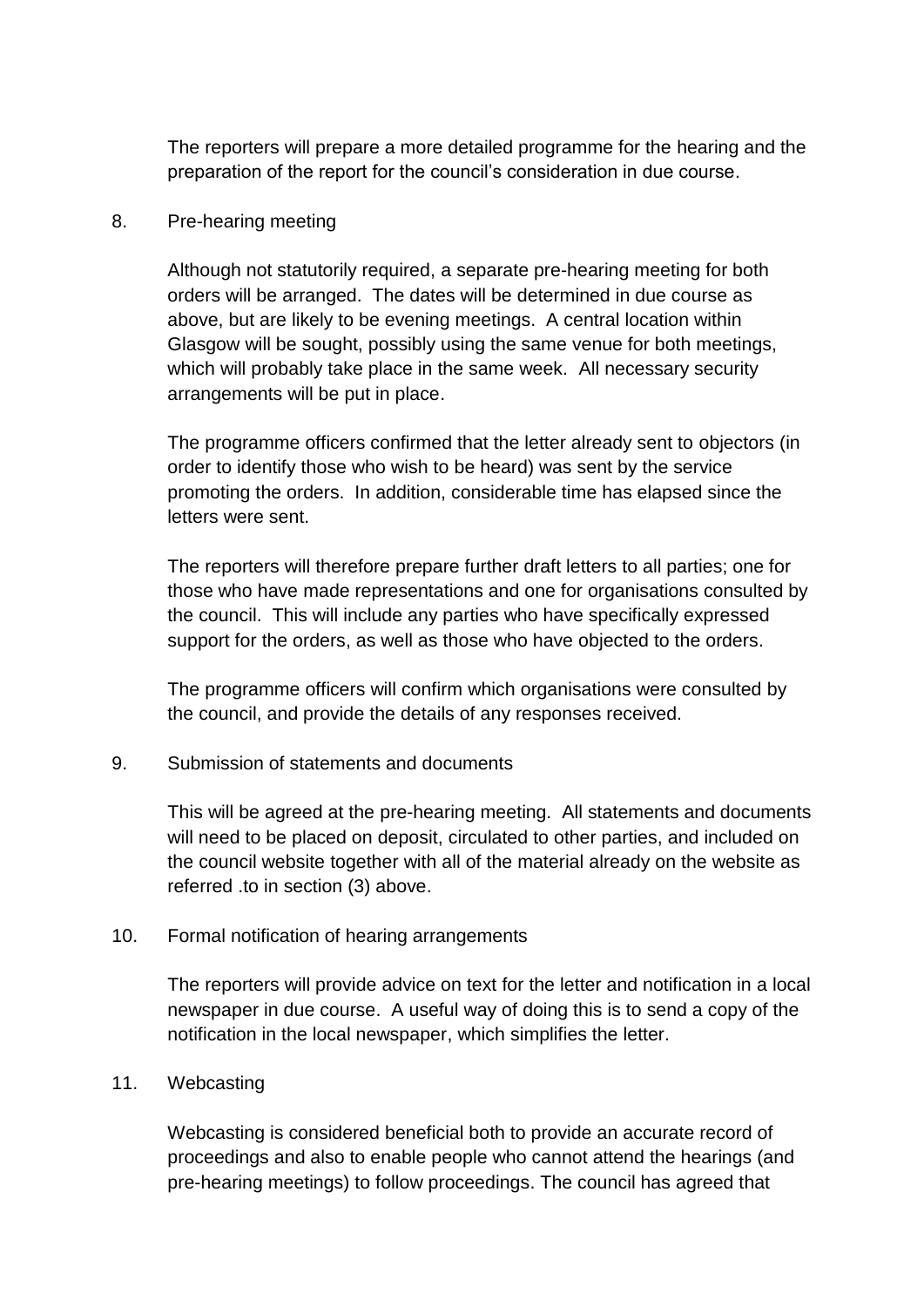The reporters will prepare a more detailed programme for the hearing and the preparation of the report for the council's consideration in due course.

# 8. Pre-hearing meeting

Although not statutorily required, a separate pre-hearing meeting for both orders will be arranged. The dates will be determined in due course as above, but are likely to be evening meetings. A central location within Glasgow will be sought, possibly using the same venue for both meetings, which will probably take place in the same week. All necessary security arrangements will be put in place.

The programme officers confirmed that the letter already sent to objectors (in order to identify those who wish to be heard) was sent by the service promoting the orders. In addition, considerable time has elapsed since the letters were sent.

The reporters will therefore prepare further draft letters to all parties; one for those who have made representations and one for organisations consulted by the council. This will include any parties who have specifically expressed support for the orders, as well as those who have objected to the orders.

The programme officers will confirm which organisations were consulted by the council, and provide the details of any responses received.

# 9. Submission of statements and documents

This will be agreed at the pre-hearing meeting. All statements and documents will need to be placed on deposit, circulated to other parties, and included on the council website together with all of the material already on the website as referred .to in section (3) above.

# 10. Formal notification of hearing arrangements

The reporters will provide advice on text for the letter and notification in a local newspaper in due course. A useful way of doing this is to send a copy of the notification in the local newspaper, which simplifies the letter.

# 11. Webcasting

Webcasting is considered beneficial both to provide an accurate record of proceedings and also to enable people who cannot attend the hearings (and pre-hearing meetings) to follow proceedings. The council has agreed that